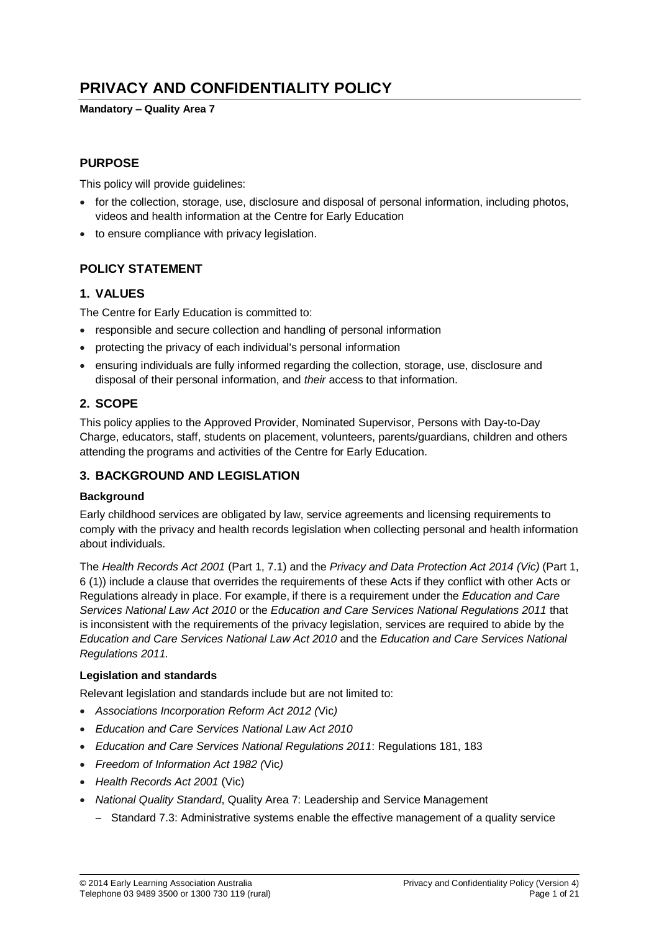# **PRIVACY AND CONFIDENTIALITY POLICY**

#### **Mandatory – Quality Area 7**

## **PURPOSE**

This policy will provide guidelines:

- for the collection, storage, use, disclosure and disposal of personal information, including photos, videos and health information at the Centre for Early Education
- to ensure compliance with privacy legislation.

## **POLICY STATEMENT**

## **1. VALUES**

The Centre for Early Education is committed to:

- responsible and secure collection and handling of personal information
- protecting the privacy of each individual's personal information
- ensuring individuals are fully informed regarding the collection, storage, use, disclosure and disposal of their personal information, and *their* access to that information.

## **2. SCOPE**

This policy applies to the Approved Provider, Nominated Supervisor, Persons with Day-to-Day Charge, educators, staff, students on placement, volunteers, parents/guardians, children and others attending the programs and activities of the Centre for Early Education.

#### **3. BACKGROUND AND LEGISLATION**

#### **Background**

Early childhood services are obligated by law, service agreements and licensing requirements to comply with the privacy and health records legislation when collecting personal and health information about individuals.

The *Health Records Act 2001* (Part 1, 7.1) and the *Privacy and Data Protection Act 2014 (Vic)* (Part 1, 6 (1)) include a clause that overrides the requirements of these Acts if they conflict with other Acts or Regulations already in place. For example, if there is a requirement under the *Education and Care Services National Law Act 2010* or the *Education and Care Services National Regulations 2011* that is inconsistent with the requirements of the privacy legislation, services are required to abide by the *Education and Care Services National Law Act 2010* and the *Education and Care Services National Regulations 2011.*

#### **Legislation and standards**

Relevant legislation and standards include but are not limited to:

- *Associations Incorporation Reform Act 2012 (*Vic*)*
- *Education and Care Services National Law Act 2010*
- *Education and Care Services National Regulations 2011*: Regulations 181, 183
- *Freedom of Information Act 1982 (*Vic*)*
- *Health Records Act 2001* (Vic)
- *National Quality Standard*, Quality Area 7: Leadership and Service Management
	- Standard 7.3: Administrative systems enable the effective management of a quality service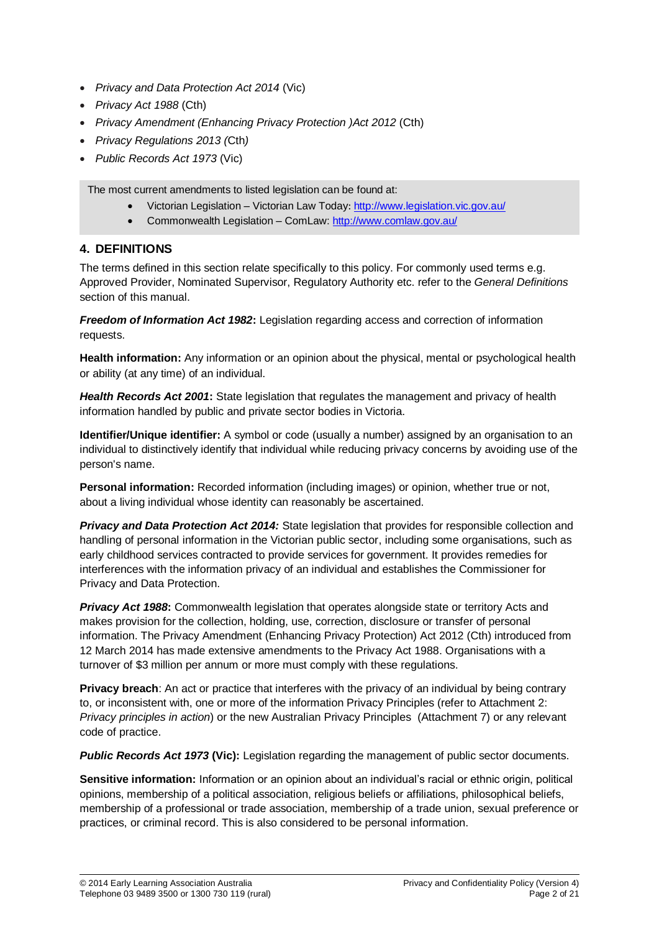- *Privacy and Data Protection Act 2014* (Vic)
- *Privacy Act 1988* (Cth)
- *Privacy Amendment (Enhancing Privacy Protection )Act 2012* (Cth)
- *Privacy Regulations 2013 (*Cth*)*
- *Public Records Act 1973* (Vic)

The most current amendments to listed legislation can be found at:

- Victorian Legislation Victorian Law Today: <http://www.legislation.vic.gov.au/>
- Commonwealth Legislation ComLaw:<http://www.comlaw.gov.au/>

## **4. DEFINITIONS**

The terms defined in this section relate specifically to this policy. For commonly used terms e.g. Approved Provider, Nominated Supervisor, Regulatory Authority etc. refer to the *General Definitions* section of this manual.

*Freedom of Information Act 1982***:** Legislation regarding access and correction of information requests.

**Health information:** Any information or an opinion about the physical, mental or psychological health or ability (at any time) of an individual.

*Health Records Act 2001***:** State legislation that regulates the management and privacy of health information handled by public and private sector bodies in Victoria.

**Identifier/Unique identifier:** A symbol or code (usually a number) assigned by an organisation to an individual to distinctively identify that individual while reducing privacy concerns by avoiding use of the person's name.

**Personal information:** Recorded information (including images) or opinion, whether true or not, about a living individual whose identity can reasonably be ascertained.

*Privacy and Data Protection Act 2014:* State legislation that provides for responsible collection and handling of personal information in the Victorian public sector, including some organisations, such as early childhood services contracted to provide services for government. It provides remedies for interferences with the information privacy of an individual and establishes the Commissioner for Privacy and Data Protection.

*Privacy Act 1988***:** Commonwealth legislation that operates alongside state or territory Acts and makes provision for the collection, holding, use, correction, disclosure or transfer of personal information. The Privacy Amendment (Enhancing Privacy Protection) Act 2012 (Cth) introduced from 12 March 2014 has made extensive amendments to the Privacy Act 1988. Organisations with a turnover of \$3 million per annum or more must comply with these regulations.

**Privacy breach**: An act or practice that interferes with the privacy of an individual by being contrary to, or inconsistent with, one or more of the information Privacy Principles (refer to Attachment 2: *Privacy principles in action*) or the new Australian Privacy Principles (Attachment 7) or any relevant code of practice.

*Public Records Act 1973* **(Vic):** Legislation regarding the management of public sector documents.

**Sensitive information:** Information or an opinion about an individual's racial or ethnic origin, political opinions, membership of a political association, religious beliefs or affiliations, philosophical beliefs, membership of a professional or trade association, membership of a trade union, sexual preference or practices, or criminal record. This is also considered to be personal information.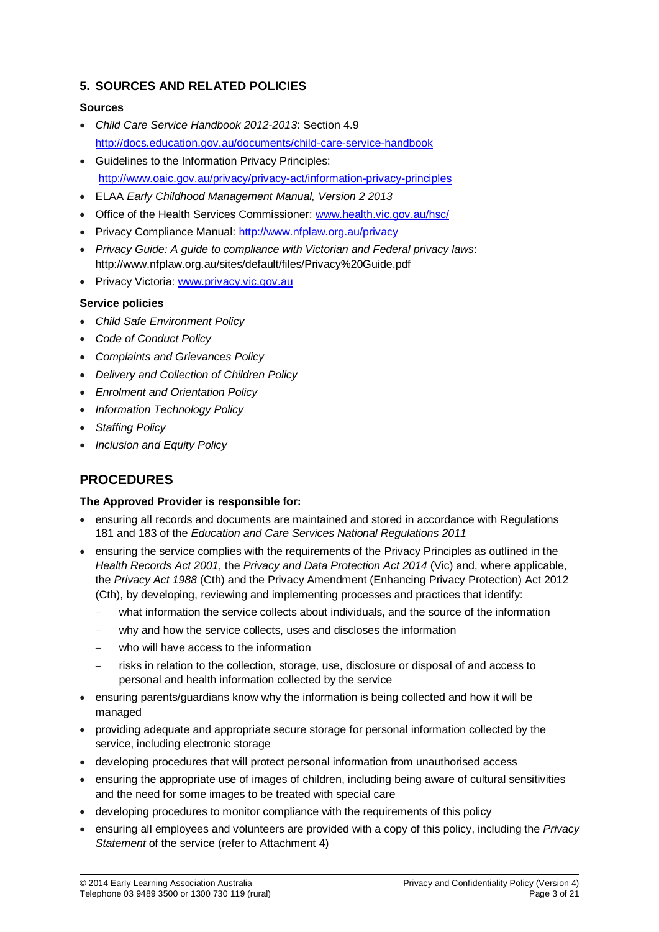## **5. SOURCES AND RELATED POLICIES**

#### **Sources**

- *Child Care Service Handbook 2012-2013*: Section 4.9 <http://docs.education.gov.au/documents/child-care-service-handbook>
- Guidelines to the Information Privacy Principles: <http://www.oaic.gov.au/privacy/privacy-act/information-privacy-principles>
- ELAA *Early Childhood Management Manual, Version 2 2013*
- Office of the Health Services Commissioner: [www.health.vic.gov.au/hsc/](http://www.health.vic.gov.au/hsc/)
- Privacy Compliance Manual:<http://www.nfplaw.org.au/privacy>
- *Privacy Guide: A guide to compliance with Victorian and Federal privacy laws*: http://www.nfplaw.org.au/sites/default/files/Privacy%20Guide.pdf
- Privacy Victoria[: www.privacy.vic.gov.au](http://www.privacy.vic.gov.au/)

## **Service policies**

- *Child Safe Environment Policy*
- *Code of Conduct Policy*
- *Complaints and Grievances Policy*
- *Delivery and Collection of Children Policy*
- *Enrolment and Orientation Policy*
- *Information Technology Policy*
- *Staffing Policy*
- *Inclusion and Equity Policy*

## **PROCEDURES**

#### **The Approved Provider is responsible for:**

- ensuring all records and documents are maintained and stored in accordance with Regulations 181 and 183 of the *Education and Care Services National Regulations 2011*
- ensuring the service complies with the requirements of the Privacy Principles as outlined in the *Health Records Act 2001*, the *Privacy and Data Protection Act 2014* (Vic) and, where applicable, the *Privacy Act 1988* (Cth) and the Privacy Amendment (Enhancing Privacy Protection) Act 2012 (Cth), by developing, reviewing and implementing processes and practices that identify:
	- what information the service collects about individuals, and the source of the information
	- why and how the service collects, uses and discloses the information
	- who will have access to the information
	- risks in relation to the collection, storage, use, disclosure or disposal of and access to personal and health information collected by the service
- ensuring parents/guardians know why the information is being collected and how it will be managed
- providing adequate and appropriate secure storage for personal information collected by the service, including electronic storage
- developing procedures that will protect personal information from unauthorised access
- ensuring the appropriate use of images of children, including being aware of cultural sensitivities and the need for some images to be treated with special care
- developing procedures to monitor compliance with the requirements of this policy
- ensuring all employees and volunteers are provided with a copy of this policy, including the *Privacy Statement* of the service (refer to Attachment 4)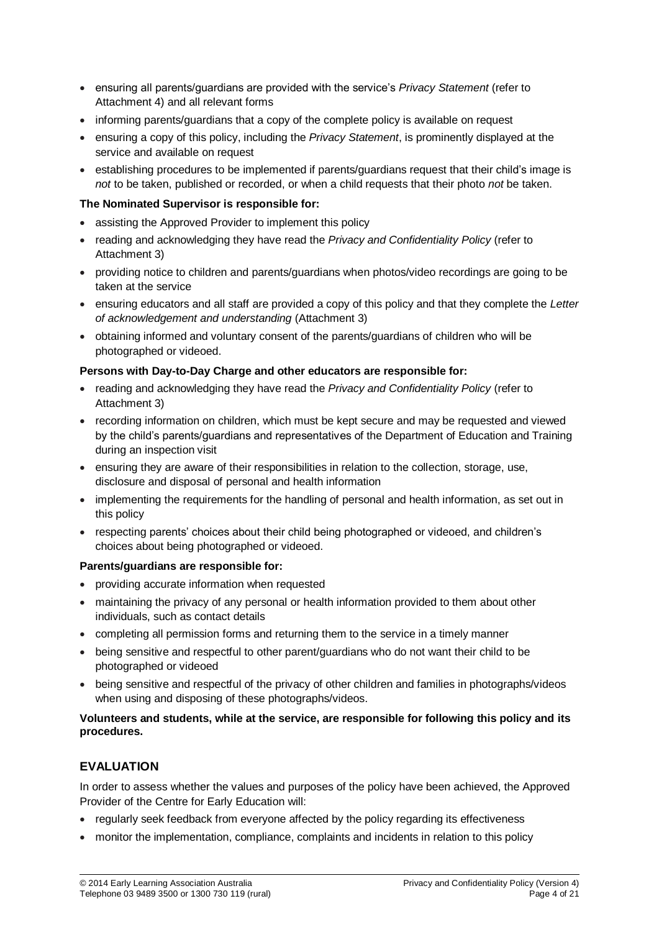- ensuring all parents/guardians are provided with the service's *Privacy Statement* (refer to Attachment 4) and all relevant forms
- informing parents/guardians that a copy of the complete policy is available on request
- ensuring a copy of this policy, including the *Privacy Statement*, is prominently displayed at the service and available on request
- establishing procedures to be implemented if parents/guardians request that their child's image is *not* to be taken, published or recorded, or when a child requests that their photo *not* be taken.

#### **The Nominated Supervisor is responsible for:**

- assisting the Approved Provider to implement this policy
- reading and acknowledging they have read the *Privacy and Confidentiality Policy* (refer to Attachment 3)
- providing notice to children and parents/guardians when photos/video recordings are going to be taken at the service
- ensuring educators and all staff are provided a copy of this policy and that they complete the *Letter of acknowledgement and understanding* (Attachment 3)
- obtaining informed and voluntary consent of the parents/guardians of children who will be photographed or videoed.

#### **Persons with Day-to-Day Charge and other educators are responsible for:**

- reading and acknowledging they have read the *Privacy and Confidentiality Policy* (refer to Attachment 3)
- recording information on children, which must be kept secure and may be requested and viewed by the child's parents/guardians and representatives of the Department of Education and Training during an inspection visit
- ensuring they are aware of their responsibilities in relation to the collection, storage, use, disclosure and disposal of personal and health information
- implementing the requirements for the handling of personal and health information, as set out in this policy
- respecting parents' choices about their child being photographed or videoed, and children's choices about being photographed or videoed.

#### **Parents/guardians are responsible for:**

- providing accurate information when requested
- maintaining the privacy of any personal or health information provided to them about other individuals, such as contact details
- completing all permission forms and returning them to the service in a timely manner
- being sensitive and respectful to other parent/guardians who do not want their child to be photographed or videoed
- being sensitive and respectful of the privacy of other children and families in photographs/videos when using and disposing of these photographs/videos.

#### **Volunteers and students, while at the service, are responsible for following this policy and its procedures.**

## **EVALUATION**

In order to assess whether the values and purposes of the policy have been achieved, the Approved Provider of the Centre for Early Education will:

- regularly seek feedback from everyone affected by the policy regarding its effectiveness
- monitor the implementation, compliance, complaints and incidents in relation to this policy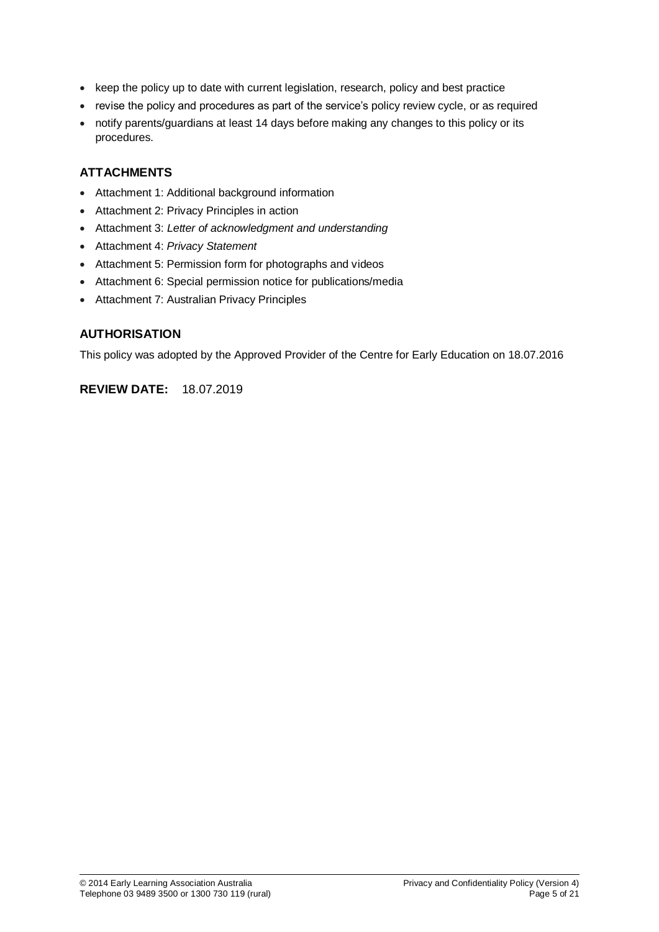- keep the policy up to date with current legislation, research, policy and best practice
- revise the policy and procedures as part of the service's policy review cycle, or as required
- notify parents/guardians at least 14 days before making any changes to this policy or its procedures.

## **ATTACHMENTS**

- Attachment 1: Additional background information
- Attachment 2: Privacy Principles in action
- Attachment 3: *Letter of acknowledgment and understanding*
- Attachment 4: *Privacy Statement*
- Attachment 5: Permission form for photographs and videos
- Attachment 6: Special permission notice for publications/media
- Attachment 7: Australian Privacy Principles

## **AUTHORISATION**

This policy was adopted by the Approved Provider of the Centre for Early Education on 18.07.2016

## **REVIEW DATE:** 18.07.2019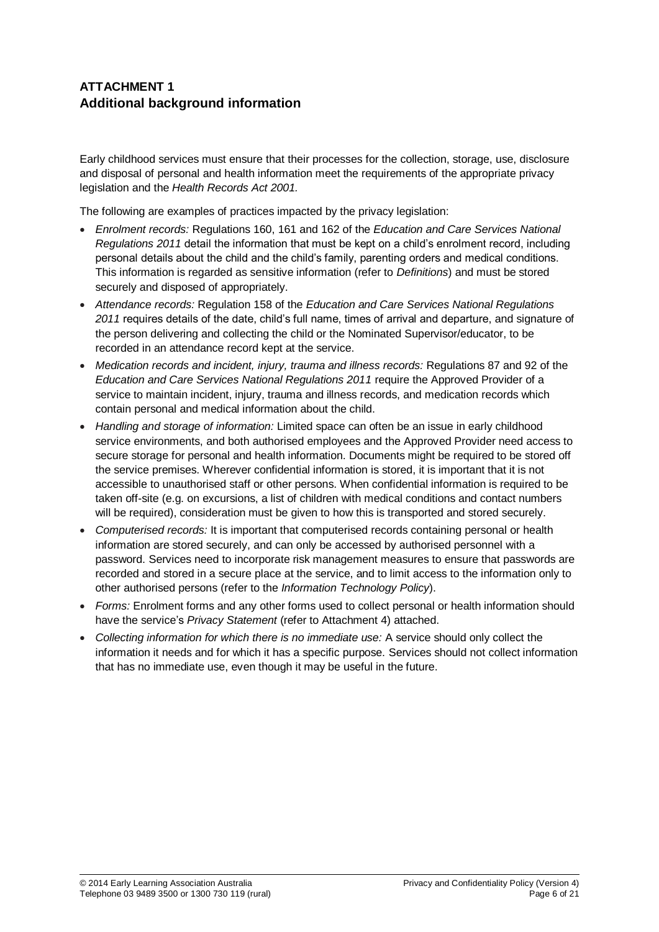## **ATTACHMENT 1 Additional background information**

Early childhood services must ensure that their processes for the collection, storage, use, disclosure and disposal of personal and health information meet the requirements of the appropriate privacy legislation and the *Health Records Act 2001.*

The following are examples of practices impacted by the privacy legislation:

- *Enrolment records:* Regulations 160, 161 and 162 of the *Education and Care Services National Regulations 2011* detail the information that must be kept on a child's enrolment record, including personal details about the child and the child's family, parenting orders and medical conditions. This information is regarded as sensitive information (refer to *Definitions*) and must be stored securely and disposed of appropriately.
- *Attendance records:* Regulation 158 of the *Education and Care Services National Regulations 2011* requires details of the date, child's full name, times of arrival and departure, and signature of the person delivering and collecting the child or the Nominated Supervisor/educator, to be recorded in an attendance record kept at the service.
- *Medication records and incident, injury, trauma and illness records:* Regulations 87 and 92 of the *Education and Care Services National Regulations 2011* require the Approved Provider of a service to maintain incident, injury, trauma and illness records, and medication records which contain personal and medical information about the child.
- *Handling and storage of information:* Limited space can often be an issue in early childhood service environments, and both authorised employees and the Approved Provider need access to secure storage for personal and health information. Documents might be required to be stored off the service premises. Wherever confidential information is stored, it is important that it is not accessible to unauthorised staff or other persons. When confidential information is required to be taken off-site (e.g. on excursions, a list of children with medical conditions and contact numbers will be required), consideration must be given to how this is transported and stored securely.
- *Computerised records:* It is important that computerised records containing personal or health information are stored securely, and can only be accessed by authorised personnel with a password. Services need to incorporate risk management measures to ensure that passwords are recorded and stored in a secure place at the service, and to limit access to the information only to other authorised persons (refer to the *Information Technology Policy*).
- *Forms:* Enrolment forms and any other forms used to collect personal or health information should have the service's *Privacy Statement* (refer to Attachment 4) attached.
- *Collecting information for which there is no immediate use:* A service should only collect the information it needs and for which it has a specific purpose. Services should not collect information that has no immediate use, even though it may be useful in the future.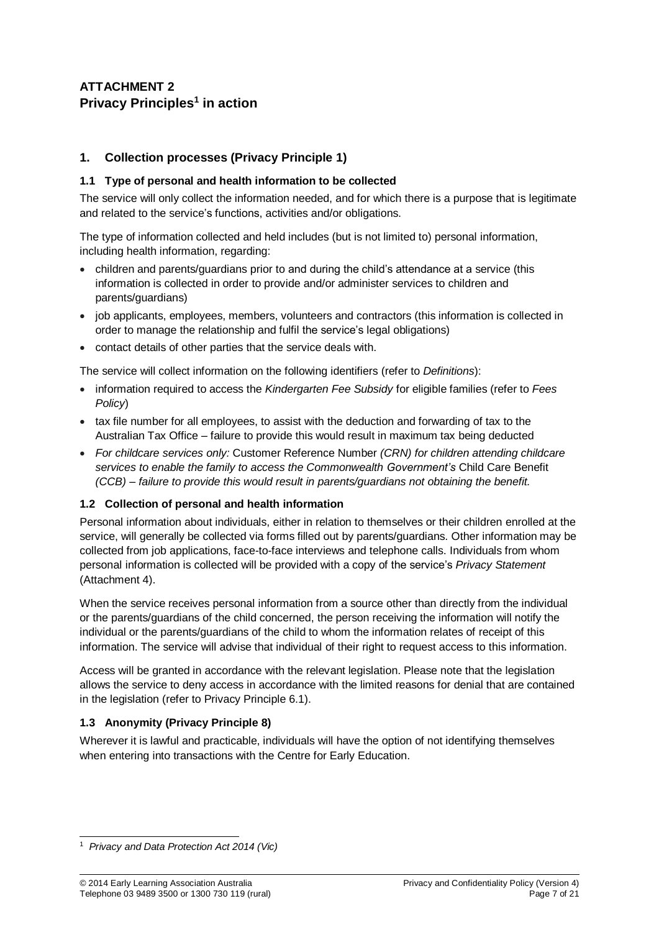## **ATTACHMENT 2 Privacy Principles<sup>1</sup> in action**

## **1. Collection processes (Privacy Principle 1)**

## **1.1 Type of personal and health information to be collected**

The service will only collect the information needed, and for which there is a purpose that is legitimate and related to the service's functions, activities and/or obligations.

The type of information collected and held includes (but is not limited to) personal information, including health information, regarding:

- children and parents/guardians prior to and during the child's attendance at a service (this information is collected in order to provide and/or administer services to children and parents/guardians)
- job applicants, employees, members, volunteers and contractors (this information is collected in order to manage the relationship and fulfil the service's legal obligations)
- contact details of other parties that the service deals with.

The service will collect information on the following identifiers (refer to *Definitions*):

- information required to access the *Kindergarten Fee Subsidy* for eligible families (refer to *Fees Policy*)
- tax file number for all employees, to assist with the deduction and forwarding of tax to the Australian Tax Office – failure to provide this would result in maximum tax being deducted
- *For childcare services only:* Customer Reference Number *(CRN) for children attending childcare services to enable the family to access the Commonwealth Government's* Child Care Benefit *(CCB) – failure to provide this would result in parents/guardians not obtaining the benefit.*

## **1.2 Collection of personal and health information**

Personal information about individuals, either in relation to themselves or their children enrolled at the service, will generally be collected via forms filled out by parents/guardians. Other information may be collected from job applications, face-to-face interviews and telephone calls. Individuals from whom personal information is collected will be provided with a copy of the service's *Privacy Statement* (Attachment 4).

When the service receives personal information from a source other than directly from the individual or the parents/guardians of the child concerned, the person receiving the information will notify the individual or the parents/guardians of the child to whom the information relates of receipt of this information. The service will advise that individual of their right to request access to this information.

Access will be granted in accordance with the relevant legislation. Please note that the legislation allows the service to deny access in accordance with the limited reasons for denial that are contained in the legislation (refer to Privacy Principle 6.1).

## **1.3 Anonymity (Privacy Principle 8)**

Wherever it is lawful and practicable, individuals will have the option of not identifying themselves when entering into transactions with the Centre for Early Education.

<sup>-</sup><sup>1</sup> *Privacy and Data Protection Act 2014 (Vic)*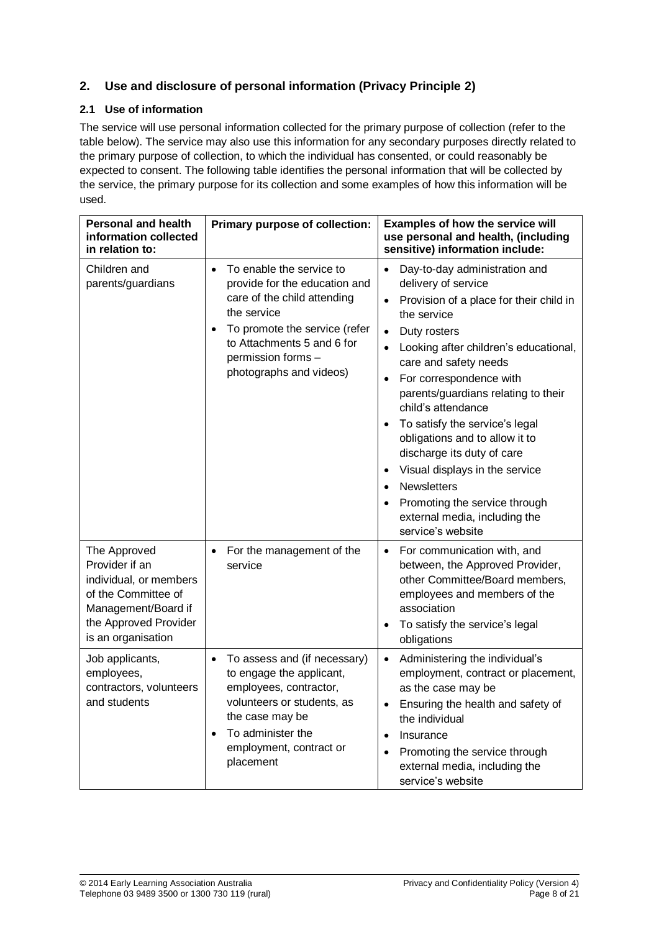## **2. Use and disclosure of personal information (Privacy Principle 2)**

## **2.1 Use of information**

The service will use personal information collected for the primary purpose of collection (refer to the table below). The service may also use this information for any secondary purposes directly related to the primary purpose of collection, to which the individual has consented, or could reasonably be expected to consent. The following table identifies the personal information that will be collected by the service, the primary purpose for its collection and some examples of how this information will be used.

| <b>Personal and health</b><br>information collected<br>in relation to:                                                                                | Primary purpose of collection:                                                                                                                                                                                                       | <b>Examples of how the service will</b><br>use personal and health, (including<br>sensitive) information include:                                                                                                                                                                                                                                                                                                                                                                                                                                                                                                                                              |
|-------------------------------------------------------------------------------------------------------------------------------------------------------|--------------------------------------------------------------------------------------------------------------------------------------------------------------------------------------------------------------------------------------|----------------------------------------------------------------------------------------------------------------------------------------------------------------------------------------------------------------------------------------------------------------------------------------------------------------------------------------------------------------------------------------------------------------------------------------------------------------------------------------------------------------------------------------------------------------------------------------------------------------------------------------------------------------|
| Children and<br>parents/guardians                                                                                                                     | To enable the service to<br>$\bullet$<br>provide for the education and<br>care of the child attending<br>the service<br>To promote the service (refer<br>to Attachments 5 and 6 for<br>permission forms -<br>photographs and videos) | Day-to-day administration and<br>$\bullet$<br>delivery of service<br>Provision of a place for their child in<br>$\bullet$<br>the service<br>Duty rosters<br>$\bullet$<br>Looking after children's educational,<br>$\bullet$<br>care and safety needs<br>For correspondence with<br>$\bullet$<br>parents/guardians relating to their<br>child's attendance<br>To satisfy the service's legal<br>$\bullet$<br>obligations and to allow it to<br>discharge its duty of care<br>Visual displays in the service<br>$\bullet$<br><b>Newsletters</b><br>$\bullet$<br>Promoting the service through<br>$\bullet$<br>external media, including the<br>service's website |
| The Approved<br>Provider if an<br>individual, or members<br>of the Committee of<br>Management/Board if<br>the Approved Provider<br>is an organisation | For the management of the<br>service                                                                                                                                                                                                 | For communication with, and<br>$\bullet$<br>between, the Approved Provider,<br>other Committee/Board members,<br>employees and members of the<br>association<br>To satisfy the service's legal<br>$\bullet$<br>obligations                                                                                                                                                                                                                                                                                                                                                                                                                                     |
| Job applicants,<br>employees,<br>contractors, volunteers<br>and students                                                                              | To assess and (if necessary)<br>to engage the applicant,<br>employees, contractor,<br>volunteers or students, as<br>the case may be<br>To administer the<br>$\bullet$<br>employment, contract or<br>placement                        | Administering the individual's<br>$\bullet$<br>employment, contract or placement,<br>as the case may be<br>Ensuring the health and safety of<br>$\bullet$<br>the individual<br>Insurance<br>$\bullet$<br>Promoting the service through<br>$\bullet$<br>external media, including the<br>service's website                                                                                                                                                                                                                                                                                                                                                      |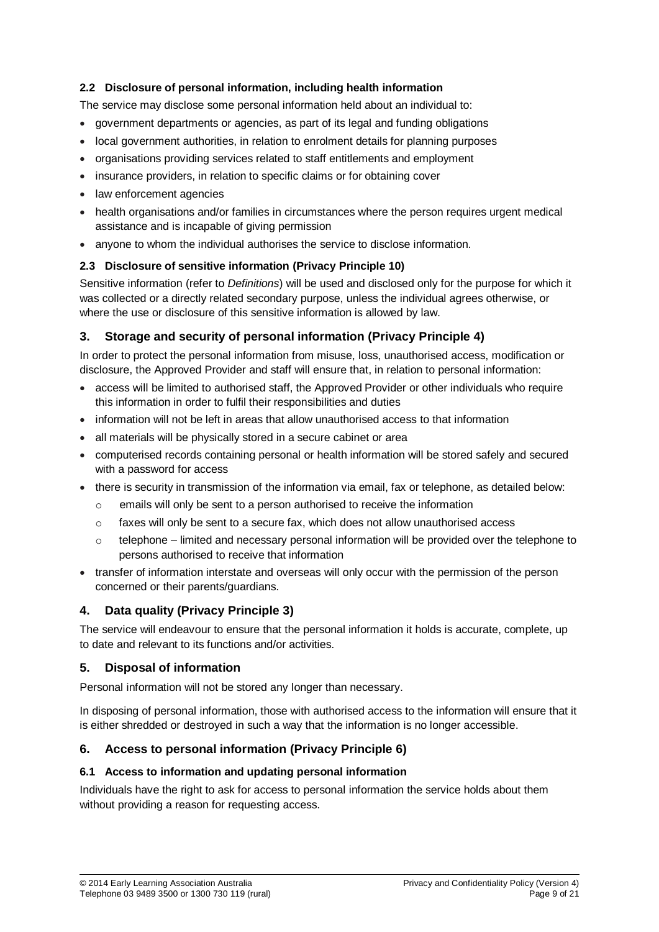## **2.2 Disclosure of personal information, including health information**

The service may disclose some personal information held about an individual to:

- government departments or agencies, as part of its legal and funding obligations
- local government authorities, in relation to enrolment details for planning purposes
- organisations providing services related to staff entitlements and employment
- insurance providers, in relation to specific claims or for obtaining cover
- law enforcement agencies
- health organisations and/or families in circumstances where the person requires urgent medical assistance and is incapable of giving permission
- anyone to whom the individual authorises the service to disclose information.

## **2.3 Disclosure of sensitive information (Privacy Principle 10)**

Sensitive information (refer to *Definitions*) will be used and disclosed only for the purpose for which it was collected or a directly related secondary purpose, unless the individual agrees otherwise, or where the use or disclosure of this sensitive information is allowed by law.

## **3. Storage and security of personal information (Privacy Principle 4)**

In order to protect the personal information from misuse, loss, unauthorised access, modification or disclosure, the Approved Provider and staff will ensure that, in relation to personal information:

- access will be limited to authorised staff, the Approved Provider or other individuals who require this information in order to fulfil their responsibilities and duties
- information will not be left in areas that allow unauthorised access to that information
- all materials will be physically stored in a secure cabinet or area
- computerised records containing personal or health information will be stored safely and secured with a password for access
- there is security in transmission of the information via email, fax or telephone, as detailed below:
	- $\circ$  emails will only be sent to a person authorised to receive the information
	- $\circ$  faxes will only be sent to a secure fax, which does not allow unauthorised access
	- $\circ$  telephone limited and necessary personal information will be provided over the telephone to persons authorised to receive that information
- transfer of information interstate and overseas will only occur with the permission of the person concerned or their parents/guardians.

## **4. Data quality (Privacy Principle 3)**

The service will endeavour to ensure that the personal information it holds is accurate, complete, up to date and relevant to its functions and/or activities.

## **5. Disposal of information**

Personal information will not be stored any longer than necessary.

In disposing of personal information, those with authorised access to the information will ensure that it is either shredded or destroyed in such a way that the information is no longer accessible.

## **6. Access to personal information (Privacy Principle 6)**

#### **6.1 Access to information and updating personal information**

Individuals have the right to ask for access to personal information the service holds about them without providing a reason for requesting access.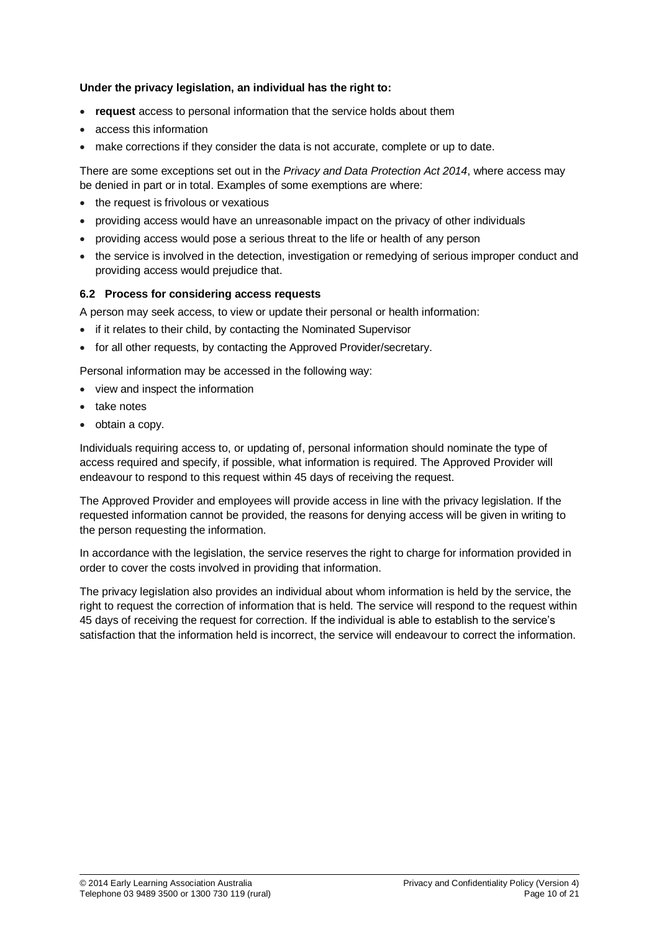#### **Under the privacy legislation, an individual has the right to:**

- **request** access to personal information that the service holds about them
- access this information
- make corrections if they consider the data is not accurate, complete or up to date.

There are some exceptions set out in the *Privacy and Data Protection Act 2014*, where access may be denied in part or in total. Examples of some exemptions are where:

- the request is frivolous or vexatious
- providing access would have an unreasonable impact on the privacy of other individuals
- providing access would pose a serious threat to the life or health of any person
- the service is involved in the detection, investigation or remedying of serious improper conduct and providing access would prejudice that.

#### **6.2 Process for considering access requests**

A person may seek access, to view or update their personal or health information:

- if it relates to their child, by contacting the Nominated Supervisor
- for all other requests, by contacting the Approved Provider/secretary.

Personal information may be accessed in the following way:

- view and inspect the information
- take notes
- obtain a copy.

Individuals requiring access to, or updating of, personal information should nominate the type of access required and specify, if possible, what information is required. The Approved Provider will endeavour to respond to this request within 45 days of receiving the request.

The Approved Provider and employees will provide access in line with the privacy legislation. If the requested information cannot be provided, the reasons for denying access will be given in writing to the person requesting the information.

In accordance with the legislation, the service reserves the right to charge for information provided in order to cover the costs involved in providing that information.

The privacy legislation also provides an individual about whom information is held by the service, the right to request the correction of information that is held. The service will respond to the request within 45 days of receiving the request for correction. If the individual is able to establish to the service's satisfaction that the information held is incorrect, the service will endeavour to correct the information.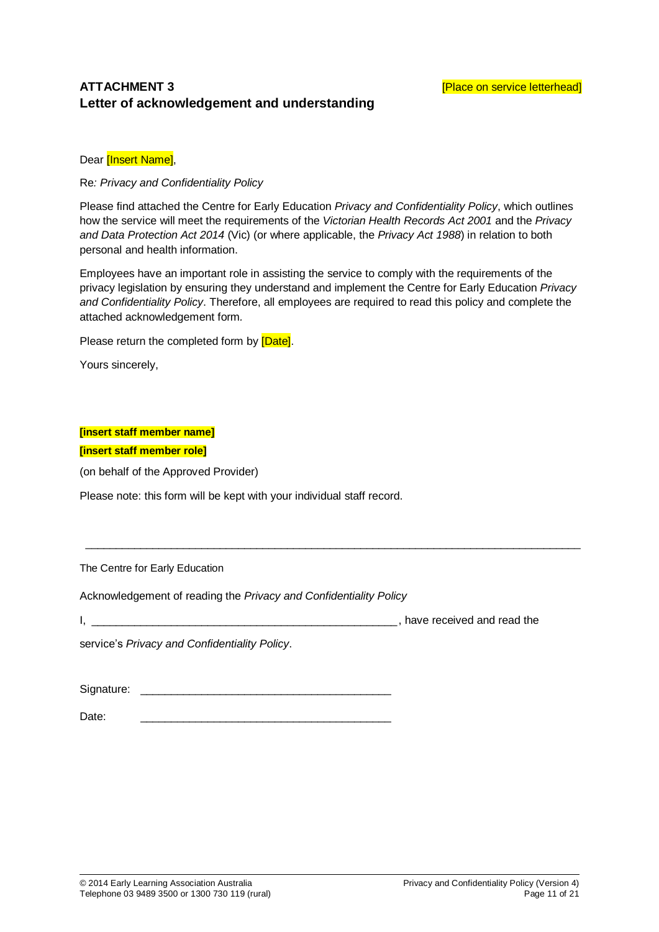## **ATTACHMENT 3 AND EXECUTE 2 CONSUMING THE EXECUTIVE CONSUMING THE EXECUTIVE CONSUMING THE EXECUTIVE CONSUMING THE EXECUTIVE CONSUMING THE EXECUTIVE CONSUMING THE EXECUTIVE CONSUMING THE EXECUTIVE CONSUMING THE EXECUTIV Letter of acknowledgement and understanding**

Dear [Insert Name],

Re*: Privacy and Confidentiality Policy*

Please find attached the Centre for Early Education *Privacy and Confidentiality Policy*, which outlines how the service will meet the requirements of the *Victorian Health Records Act 2001* and the *Privacy and Data Protection Act 2014* (Vic) (or where applicable, the *Privacy Act 1988*) in relation to both personal and health information.

Employees have an important role in assisting the service to comply with the requirements of the privacy legislation by ensuring they understand and implement the Centre for Early Education *Privacy and Confidentiality Policy*. Therefore, all employees are required to read this policy and complete the attached acknowledgement form*.* 

\_\_\_\_\_\_\_\_\_\_\_\_\_\_\_\_\_\_\_\_\_\_\_\_\_\_\_\_\_\_\_\_\_\_\_\_\_\_\_\_\_\_\_\_\_\_\_\_\_\_\_\_\_\_\_\_\_\_\_\_\_\_\_\_\_\_\_\_\_\_\_\_\_\_\_\_\_\_\_\_\_

Please return the completed form by [Date].

Yours sincerely,

#### **[insert staff member name]**

**[insert staff member role]**

(on behalf of the Approved Provider)

Please note: this form will be kept with your individual staff record.

The Centre for Early Education

Acknowledgement of reading the *Privacy and Confidentiality Policy*

I, \_\_\_\_\_\_\_\_\_\_\_\_\_\_\_\_\_\_\_\_\_\_\_\_\_\_\_\_\_\_\_\_\_\_\_\_\_\_\_\_\_\_\_\_\_\_\_\_\_\_, have received and read the

service's *Privacy and Confidentiality Policy*.

Signature:

Date: \_\_\_\_\_\_\_\_\_\_\_\_\_\_\_\_\_\_\_\_\_\_\_\_\_\_\_\_\_\_\_\_\_\_\_\_\_\_\_\_\_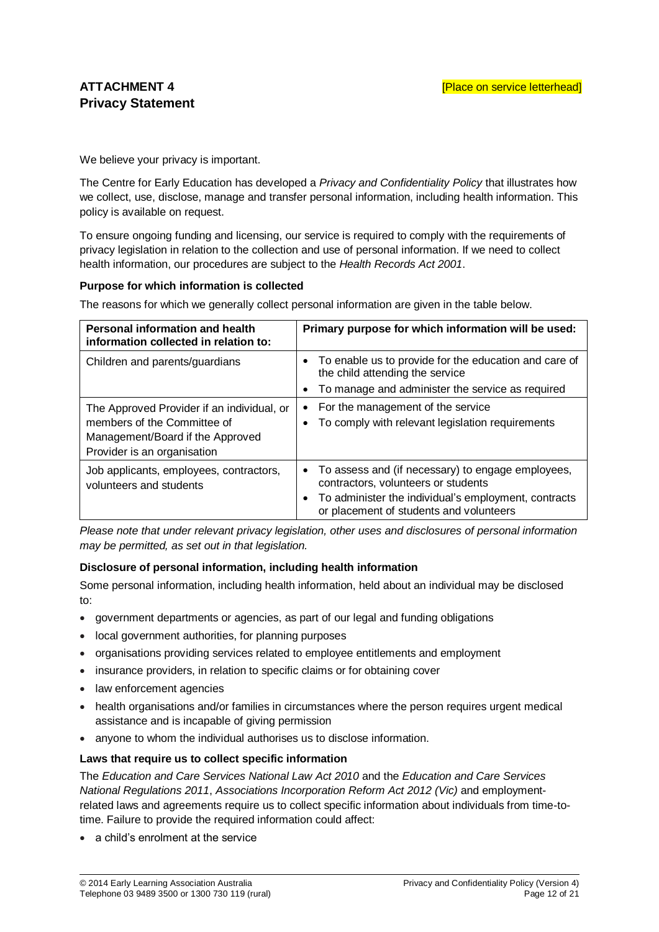We believe your privacy is important.

The Centre for Early Education has developed a *Privacy and Confidentiality Policy* that illustrates how we collect, use, disclose, manage and transfer personal information, including health information. This policy is available on request.

To ensure ongoing funding and licensing, our service is required to comply with the requirements of privacy legislation in relation to the collection and use of personal information. If we need to collect health information, our procedures are subject to the *Health Records Act 2001*.

#### **Purpose for which information is collected**

The reasons for which we generally collect personal information are given in the table below.

| <b>Personal information and health</b><br>information collected in relation to:                                                              | Primary purpose for which information will be used:                                                                                                                                           |
|----------------------------------------------------------------------------------------------------------------------------------------------|-----------------------------------------------------------------------------------------------------------------------------------------------------------------------------------------------|
| Children and parents/guardians                                                                                                               | • To enable us to provide for the education and care of<br>the child attending the service<br>To manage and administer the service as required                                                |
| The Approved Provider if an individual, or<br>members of the Committee of<br>Management/Board if the Approved<br>Provider is an organisation | For the management of the service<br>$\bullet$<br>To comply with relevant legislation requirements<br>$\bullet$                                                                               |
| Job applicants, employees, contractors,<br>volunteers and students                                                                           | • To assess and (if necessary) to engage employees,<br>contractors, volunteers or students<br>To administer the individual's employment, contracts<br>or placement of students and volunteers |

*Please note that under relevant privacy legislation, other uses and disclosures of personal information may be permitted, as set out in that legislation.*

#### **Disclosure of personal information, including health information**

Some personal information, including health information, held about an individual may be disclosed to:

- government departments or agencies, as part of our legal and funding obligations
- local government authorities, for planning purposes
- organisations providing services related to employee entitlements and employment
- insurance providers, in relation to specific claims or for obtaining cover
- law enforcement agencies
- health organisations and/or families in circumstances where the person requires urgent medical assistance and is incapable of giving permission
- anyone to whom the individual authorises us to disclose information.

#### **Laws that require us to collect specific information**

The *Education and Care Services National Law Act 2010* and the *Education and Care Services National Regulations 2011*, *Associations Incorporation Reform Act 2012 (Vic)* and employmentrelated laws and agreements require us to collect specific information about individuals from time-totime. Failure to provide the required information could affect:

a child's enrolment at the service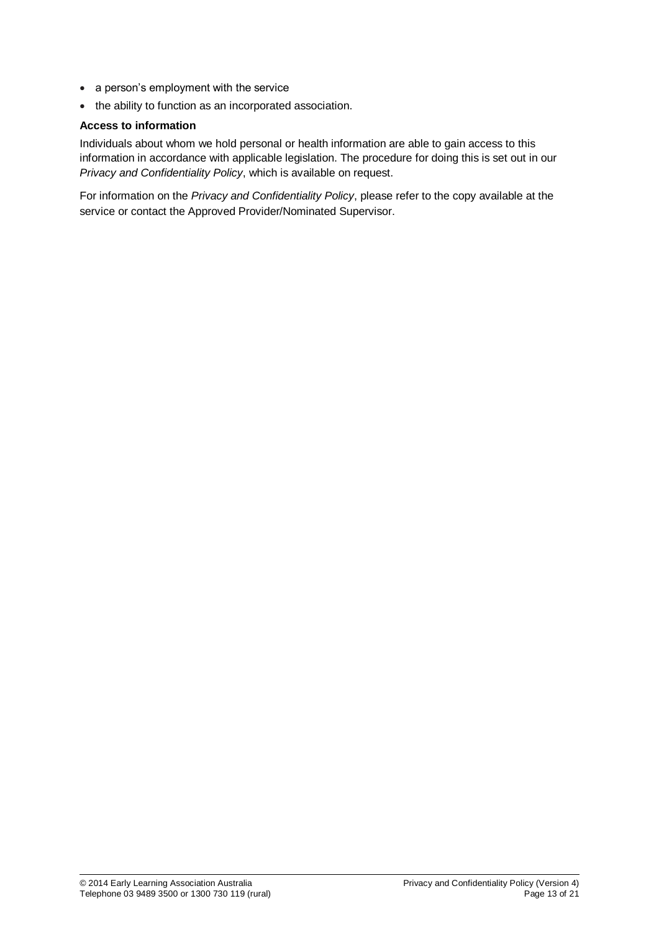- a person's employment with the service
- the ability to function as an incorporated association.

#### **Access to information**

Individuals about whom we hold personal or health information are able to gain access to this information in accordance with applicable legislation. The procedure for doing this is set out in our *Privacy and Confidentiality Policy*, which is available on request.

For information on the *Privacy and Confidentiality Policy*, please refer to the copy available at the service or contact the Approved Provider/Nominated Supervisor.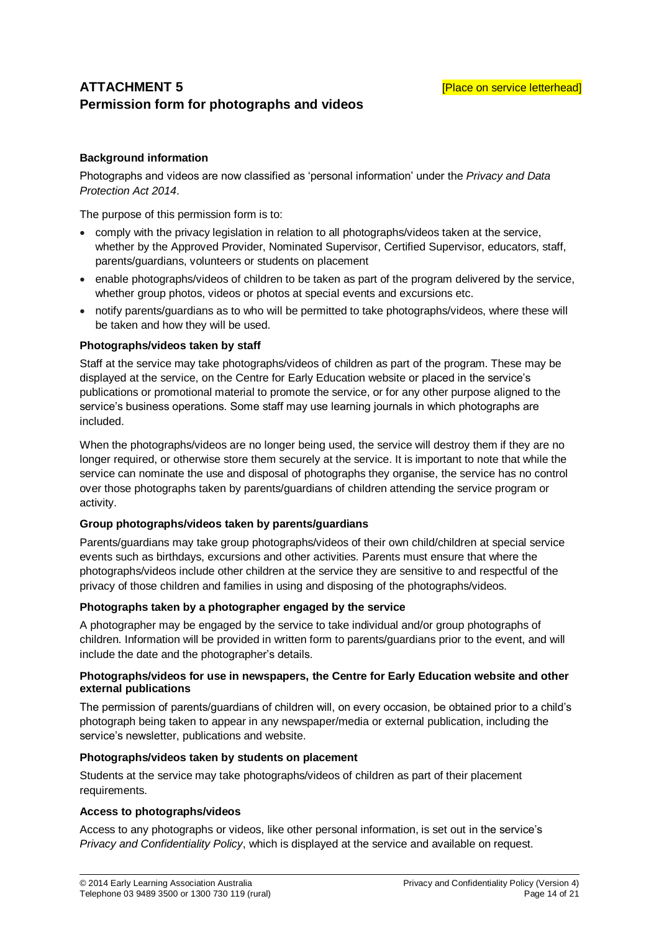## **ATTACHMENT 5 AND EXAMPLE 20 ATTACHMENT 5 EXAMPLE 20 ATTACHMENT 5 Permission form for photographs and videos**

## **Background information**

Photographs and videos are now classified as 'personal information' under the *Privacy and Data Protection Act 2014*.

The purpose of this permission form is to:

- comply with the privacy legislation in relation to all photographs/videos taken at the service, whether by the Approved Provider, Nominated Supervisor, Certified Supervisor, educators, staff, parents/guardians, volunteers or students on placement
- enable photographs/videos of children to be taken as part of the program delivered by the service, whether group photos, videos or photos at special events and excursions etc.
- notify parents/guardians as to who will be permitted to take photographs/videos, where these will be taken and how they will be used.

#### **Photographs/videos taken by staff**

Staff at the service may take photographs/videos of children as part of the program. These may be displayed at the service, on the Centre for Early Education website or placed in the service's publications or promotional material to promote the service, or for any other purpose aligned to the service's business operations. Some staff may use learning journals in which photographs are included.

When the photographs/videos are no longer being used, the service will destroy them if they are no longer required, or otherwise store them securely at the service. It is important to note that while the service can nominate the use and disposal of photographs they organise, the service has no control over those photographs taken by parents/guardians of children attending the service program or activity.

#### **Group photographs/videos taken by parents/guardians**

Parents/guardians may take group photographs/videos of their own child/children at special service events such as birthdays, excursions and other activities. Parents must ensure that where the photographs/videos include other children at the service they are sensitive to and respectful of the privacy of those children and families in using and disposing of the photographs/videos.

#### **Photographs taken by a photographer engaged by the service**

A photographer may be engaged by the service to take individual and/or group photographs of children. Information will be provided in written form to parents/guardians prior to the event, and will include the date and the photographer's details.

#### **Photographs/videos for use in newspapers, the Centre for Early Education website and other external publications**

The permission of parents/guardians of children will, on every occasion, be obtained prior to a child's photograph being taken to appear in any newspaper/media or external publication, including the service's newsletter, publications and website.

#### **Photographs/videos taken by students on placement**

Students at the service may take photographs/videos of children as part of their placement requirements.

#### **Access to photographs/videos**

Access to any photographs or videos, like other personal information, is set out in the service's *Privacy and Confidentiality Policy*, which is displayed at the service and available on request.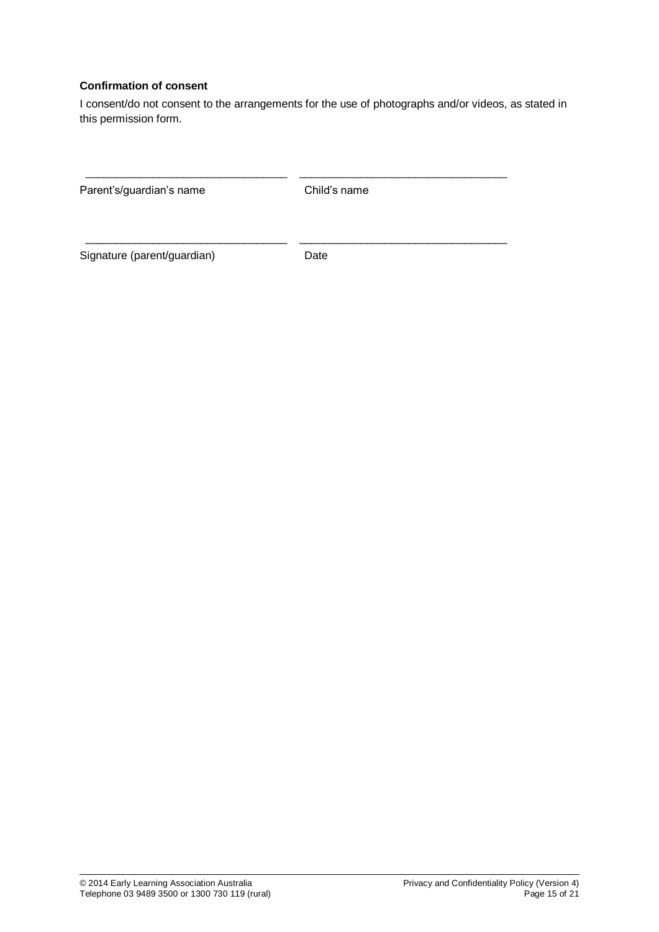## **Confirmation of consent**

I consent/do not consent to the arrangements for the use of photographs and/or videos, as stated in this permission form.

| Parent's/guardian's name    | Child's name |  |
|-----------------------------|--------------|--|
| Signature (parent/guardian) | Date         |  |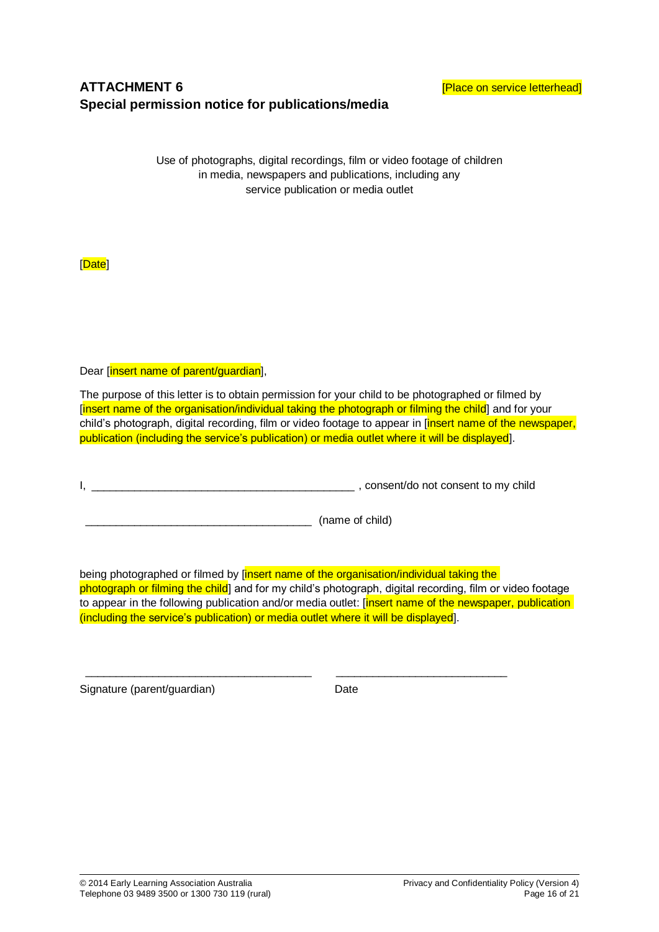## **ATTACHMENT 6 ATTACHMENT 6** *ATTACHMENT* **6 Special permission notice for publications/media**

Use of photographs, digital recordings, film or video footage of children in media, newspapers and publications, including any service publication or media outlet

[Date]

Dear [insert name of parent/quardian],

The purpose of this letter is to obtain permission for your child to be photographed or filmed by [insert name of the organisation/individual taking the photograph or filming the child] and for your child's photograph, digital recording, film or video footage to appear in *[insert name of the newspaper,* publication (including the service's publication) or media outlet where it will be displayed].

I, \_\_\_\_\_\_\_\_\_\_\_\_\_\_\_\_\_\_\_\_\_\_\_\_\_\_\_\_\_\_\_\_\_\_\_\_\_\_\_\_\_\_\_ , consent/do not consent to my child

\_\_\_\_\_\_\_\_\_\_\_\_\_\_\_\_\_\_\_\_\_\_\_\_\_\_\_\_\_\_\_\_\_\_\_\_\_ (name of child)

being photographed or filmed by [insert name of the organisation/individual taking the photograph or filming the child] and for my child's photograph, digital recording, film or video footage to appear in the following publication and/or media outlet: [insert name of the newspaper, publication] (including the service's publication) or media outlet where it will be displayed].

\_\_\_\_\_\_\_\_\_\_\_\_\_\_\_\_\_\_\_\_\_\_\_\_\_\_\_\_\_\_\_\_\_\_\_\_\_ \_\_\_\_\_\_\_\_\_\_\_\_\_\_\_\_\_\_\_\_\_\_\_\_\_\_\_\_

Signature (parent/guardian) example the Date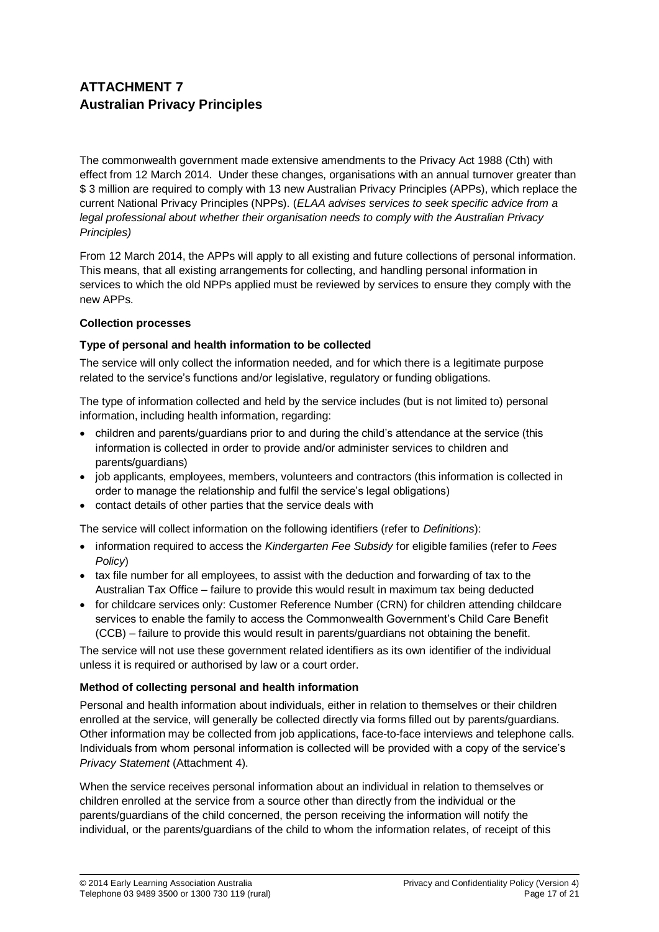## **ATTACHMENT 7 Australian Privacy Principles**

The commonwealth government made extensive amendments to the Privacy Act 1988 (Cth) with effect from 12 March 2014. Under these changes, organisations with an annual turnover greater than \$ 3 million are required to comply with 13 new Australian Privacy Principles (APPs), which replace the current National Privacy Principles (NPPs). (*ELAA advises services to seek specific advice from a legal professional about whether their organisation needs to comply with the Australian Privacy Principles)*

From 12 March 2014, the APPs will apply to all existing and future collections of personal information. This means, that all existing arrangements for collecting, and handling personal information in services to which the old NPPs applied must be reviewed by services to ensure they comply with the new APPs.

#### **Collection processes**

## **Type of personal and health information to be collected**

The service will only collect the information needed, and for which there is a legitimate purpose related to the service's functions and/or legislative, regulatory or funding obligations.

The type of information collected and held by the service includes (but is not limited to) personal information, including health information, regarding:

- children and parents/guardians prior to and during the child's attendance at the service (this information is collected in order to provide and/or administer services to children and parents/guardians)
- job applicants, employees, members, volunteers and contractors (this information is collected in order to manage the relationship and fulfil the service's legal obligations)
- contact details of other parties that the service deals with

The service will collect information on the following identifiers (refer to *Definitions*):

- information required to access the *Kindergarten Fee Subsidy* for eligible families (refer to *Fees Policy*)
- tax file number for all employees, to assist with the deduction and forwarding of tax to the Australian Tax Office – failure to provide this would result in maximum tax being deducted
- for childcare services only: Customer Reference Number (CRN) for children attending childcare services to enable the family to access the Commonwealth Government's Child Care Benefit (CCB) – failure to provide this would result in parents/guardians not obtaining the benefit.

The service will not use these government related identifiers as its own identifier of the individual unless it is required or authorised by law or a court order.

## **Method of collecting personal and health information**

Personal and health information about individuals, either in relation to themselves or their children enrolled at the service, will generally be collected directly via forms filled out by parents/guardians. Other information may be collected from job applications, face-to-face interviews and telephone calls. Individuals from whom personal information is collected will be provided with a copy of the service's *Privacy Statement* (Attachment 4).

When the service receives personal information about an individual in relation to themselves or children enrolled at the service from a source other than directly from the individual or the parents/guardians of the child concerned, the person receiving the information will notify the individual, or the parents/guardians of the child to whom the information relates, of receipt of this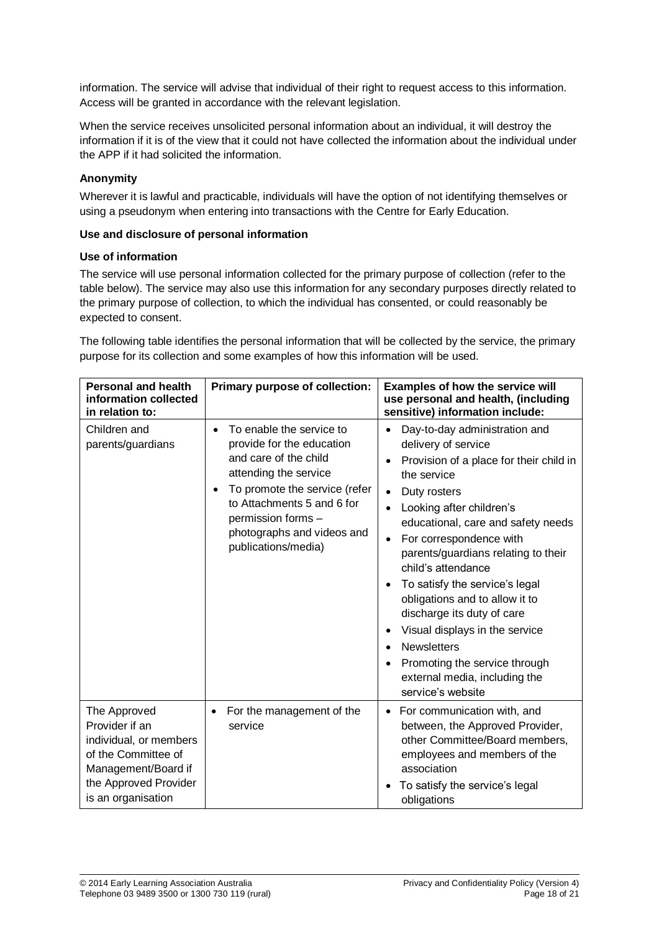information. The service will advise that individual of their right to request access to this information. Access will be granted in accordance with the relevant legislation.

When the service receives unsolicited personal information about an individual, it will destroy the information if it is of the view that it could not have collected the information about the individual under the APP if it had solicited the information.

#### **Anonymity**

Wherever it is lawful and practicable, individuals will have the option of not identifying themselves or using a pseudonym when entering into transactions with the Centre for Early Education.

#### **Use and disclosure of personal information**

#### **Use of information**

The service will use personal information collected for the primary purpose of collection (refer to the table below). The service may also use this information for any secondary purposes directly related to the primary purpose of collection, to which the individual has consented, or could reasonably be expected to consent.

The following table identifies the personal information that will be collected by the service, the primary purpose for its collection and some examples of how this information will be used.

| <b>Personal and health</b><br>information collected<br>in relation to:                                                                                | Primary purpose of collection:                                                                                                                                                                                                                         | Examples of how the service will<br>use personal and health, (including<br>sensitive) information include:                                                                                                                                                                                                                                                                                                                                                                                                                                                                                                 |
|-------------------------------------------------------------------------------------------------------------------------------------------------------|--------------------------------------------------------------------------------------------------------------------------------------------------------------------------------------------------------------------------------------------------------|------------------------------------------------------------------------------------------------------------------------------------------------------------------------------------------------------------------------------------------------------------------------------------------------------------------------------------------------------------------------------------------------------------------------------------------------------------------------------------------------------------------------------------------------------------------------------------------------------------|
| Children and<br>parents/guardians                                                                                                                     | To enable the service to<br>provide for the education<br>and care of the child<br>attending the service<br>To promote the service (refer<br>٠<br>to Attachments 5 and 6 for<br>permission forms -<br>photographs and videos and<br>publications/media) | Day-to-day administration and<br>delivery of service<br>Provision of a place for their child in<br>$\bullet$<br>the service<br>Duty rosters<br>$\bullet$<br>Looking after children's<br>educational, care and safety needs<br>For correspondence with<br>$\bullet$<br>parents/guardians relating to their<br>child's attendance<br>To satisfy the service's legal<br>obligations and to allow it to<br>discharge its duty of care<br>Visual displays in the service<br><b>Newsletters</b><br>$\bullet$<br>Promoting the service through<br>$\bullet$<br>external media, including the<br>service's website |
| The Approved<br>Provider if an<br>individual, or members<br>of the Committee of<br>Management/Board if<br>the Approved Provider<br>is an organisation | For the management of the<br>service                                                                                                                                                                                                                   | For communication with, and<br>between, the Approved Provider,<br>other Committee/Board members,<br>employees and members of the<br>association<br>To satisfy the service's legal<br>obligations                                                                                                                                                                                                                                                                                                                                                                                                           |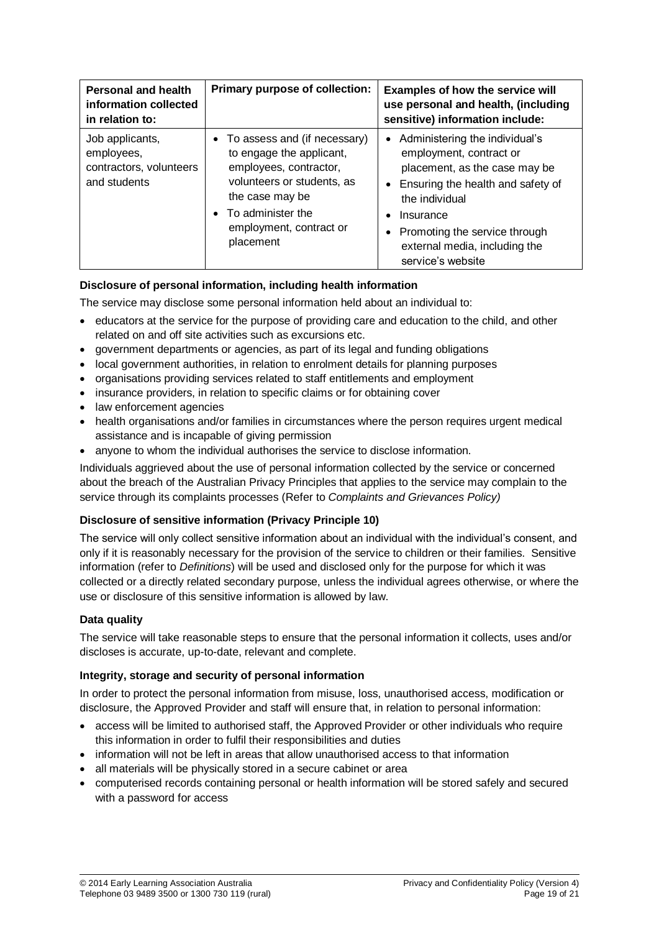| Personal and health<br>information collected<br>in relation to:          | Primary purpose of collection:                                                                                                                                                                               | <b>Examples of how the service will</b><br>use personal and health, (including<br>sensitive) information include:                                                                                                                                       |
|--------------------------------------------------------------------------|--------------------------------------------------------------------------------------------------------------------------------------------------------------------------------------------------------------|---------------------------------------------------------------------------------------------------------------------------------------------------------------------------------------------------------------------------------------------------------|
| Job applicants,<br>employees,<br>contractors, volunteers<br>and students | • To assess and (if necessary)<br>to engage the applicant,<br>employees, contractor,<br>volunteers or students, as<br>the case may be<br>$\bullet$ To administer the<br>employment, contract or<br>placement | • Administering the individual's<br>employment, contract or<br>placement, as the case may be<br>Ensuring the health and safety of<br>the individual<br>Insurance<br>Promoting the service through<br>external media, including the<br>service's website |

## **Disclosure of personal information, including health information**

The service may disclose some personal information held about an individual to:

- educators at the service for the purpose of providing care and education to the child, and other related on and off site activities such as excursions etc.
- government departments or agencies, as part of its legal and funding obligations
- local government authorities, in relation to enrolment details for planning purposes
- organisations providing services related to staff entitlements and employment
- insurance providers, in relation to specific claims or for obtaining cover
- law enforcement agencies
- health organisations and/or families in circumstances where the person requires urgent medical assistance and is incapable of giving permission
- anyone to whom the individual authorises the service to disclose information.

Individuals aggrieved about the use of personal information collected by the service or concerned about the breach of the Australian Privacy Principles that applies to the service may complain to the service through its complaints processes (Refer to *Complaints and Grievances Policy)*

#### **Disclosure of sensitive information (Privacy Principle 10)**

The service will only collect sensitive information about an individual with the individual's consent, and only if it is reasonably necessary for the provision of the service to children or their families. Sensitive information (refer to *Definitions*) will be used and disclosed only for the purpose for which it was collected or a directly related secondary purpose, unless the individual agrees otherwise, or where the use or disclosure of this sensitive information is allowed by law.

#### **Data quality**

The service will take reasonable steps to ensure that the personal information it collects, uses and/or discloses is accurate, up-to-date, relevant and complete.

#### **Integrity, storage and security of personal information**

In order to protect the personal information from misuse, loss, unauthorised access, modification or disclosure, the Approved Provider and staff will ensure that, in relation to personal information:

- access will be limited to authorised staff, the Approved Provider or other individuals who require this information in order to fulfil their responsibilities and duties
- information will not be left in areas that allow unauthorised access to that information
- all materials will be physically stored in a secure cabinet or area
- computerised records containing personal or health information will be stored safely and secured with a password for access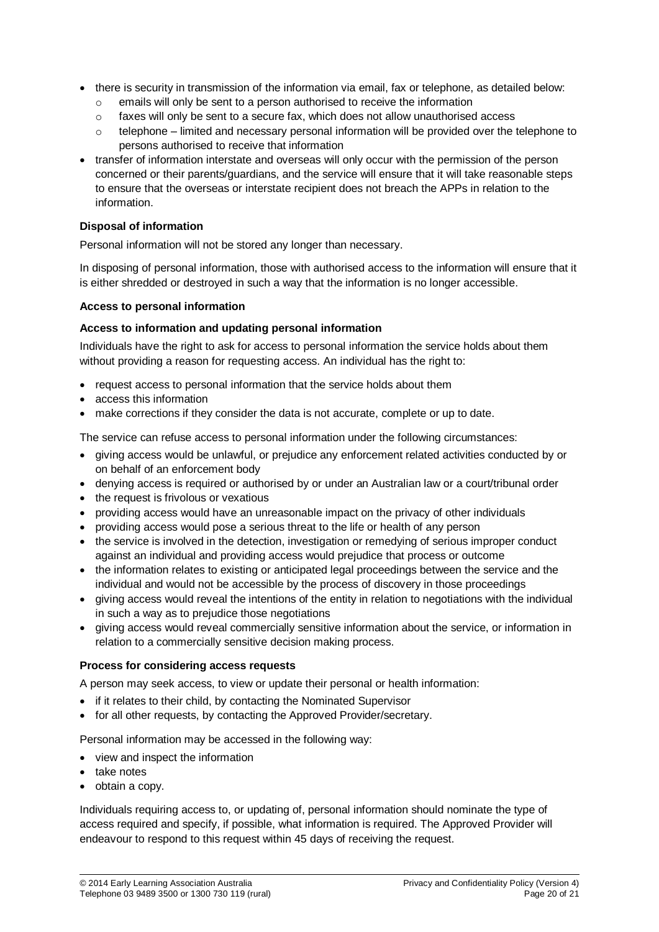- there is security in transmission of the information via email, fax or telephone, as detailed below:
	- o emails will only be sent to a person authorised to receive the information
	- $\circ$  faxes will only be sent to a secure fax, which does not allow unauthorised access
	- $\circ$  telephone limited and necessary personal information will be provided over the telephone to persons authorised to receive that information
- transfer of information interstate and overseas will only occur with the permission of the person concerned or their parents/guardians, and the service will ensure that it will take reasonable steps to ensure that the overseas or interstate recipient does not breach the APPs in relation to the information.

#### **Disposal of information**

Personal information will not be stored any longer than necessary.

In disposing of personal information, those with authorised access to the information will ensure that it is either shredded or destroyed in such a way that the information is no longer accessible.

#### **Access to personal information**

#### **Access to information and updating personal information**

Individuals have the right to ask for access to personal information the service holds about them without providing a reason for requesting access. An individual has the right to:

- request access to personal information that the service holds about them
- access this information
- make corrections if they consider the data is not accurate, complete or up to date.

The service can refuse access to personal information under the following circumstances:

- giving access would be unlawful, or prejudice any enforcement related activities conducted by or on behalf of an enforcement body
- denying access is required or authorised by or under an Australian law or a court/tribunal order
- the request is frivolous or vexatious
- providing access would have an unreasonable impact on the privacy of other individuals
- providing access would pose a serious threat to the life or health of any person
- the service is involved in the detection, investigation or remedying of serious improper conduct against an individual and providing access would prejudice that process or outcome
- the information relates to existing or anticipated legal proceedings between the service and the individual and would not be accessible by the process of discovery in those proceedings
- giving access would reveal the intentions of the entity in relation to negotiations with the individual in such a way as to prejudice those negotiations
- giving access would reveal commercially sensitive information about the service, or information in relation to a commercially sensitive decision making process.

#### **Process for considering access requests**

A person may seek access, to view or update their personal or health information:

- if it relates to their child, by contacting the Nominated Supervisor
- for all other requests, by contacting the Approved Provider/secretary.

Personal information may be accessed in the following way:

- view and inspect the information
- take notes
- obtain a copy.

Individuals requiring access to, or updating of, personal information should nominate the type of access required and specify, if possible, what information is required. The Approved Provider will endeavour to respond to this request within 45 days of receiving the request.